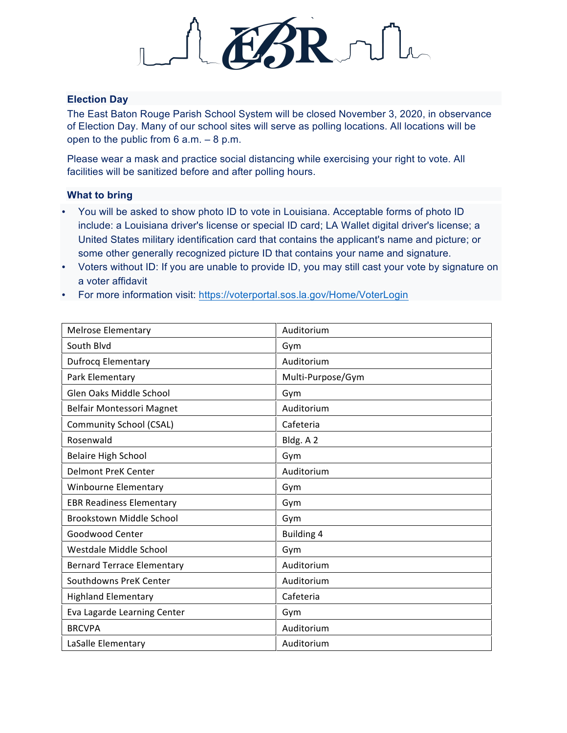

## **Election Day**

The East Baton Rouge Parish School System will be closed November 3, 2020, in observance of Election Day. Many of our school sites will serve as polling locations. All locations will be open to the public from 6 a.m. – 8 p.m.

Please wear a mask and practice social distancing while exercising your right to vote. All facilities will be sanitized before and after polling hours.

## **What to bring**

- You will be asked to show photo ID to vote in Louisiana. Acceptable forms of photo ID include: a Louisiana driver's license or special ID card; LA Wallet digital driver's license; a United States military identification card that contains the applicant's name and picture; or some other generally recognized picture ID that contains your name and signature.
- Voters without ID: If you are unable to provide ID, you may still cast your vote by signature on a voter affidavit
- For more information visit: https://voterportal.sos.la.gov/Home/VoterLogin

| <b>Melrose Elementary</b>         | Auditorium        |
|-----------------------------------|-------------------|
| South Blyd                        | Gym               |
| <b>Dufrocq Elementary</b>         | Auditorium        |
| Park Elementary                   | Multi-Purpose/Gym |
| Glen Oaks Middle School           | Gym               |
| Belfair Montessori Magnet         | Auditorium        |
| Community School (CSAL)           | Cafeteria         |
| Rosenwald                         | Bldg. A 2         |
| <b>Belaire High School</b>        | Gym               |
| <b>Delmont PreK Center</b>        | Auditorium        |
| Winbourne Elementary              | Gym               |
| <b>EBR Readiness Elementary</b>   | Gym               |
| <b>Brookstown Middle School</b>   | Gym               |
| Goodwood Center                   | <b>Building 4</b> |
| Westdale Middle School            | Gym               |
| <b>Bernard Terrace Elementary</b> | Auditorium        |
| Southdowns PreK Center            | Auditorium        |
| <b>Highland Elementary</b>        | Cafeteria         |
| Eva Lagarde Learning Center       | Gym               |
| <b>BRCVPA</b>                     | Auditorium        |
| LaSalle Elementary                | Auditorium        |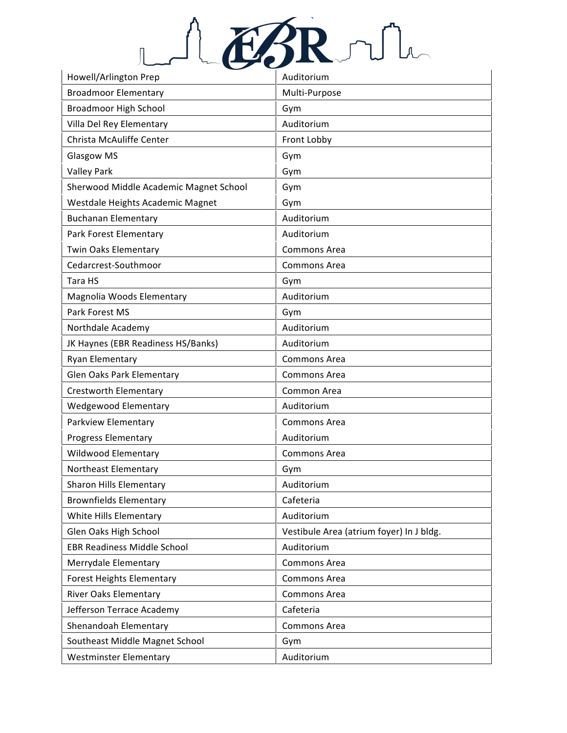

| Howell/Arlington Prep                  | Auditorium                               |
|----------------------------------------|------------------------------------------|
| <b>Broadmoor Elementary</b>            | Multi-Purpose                            |
| <b>Broadmoor High School</b>           | Gym                                      |
| Villa Del Rey Elementary               | Auditorium                               |
| Christa McAuliffe Center               | Front Lobby                              |
| Glasgow MS                             | Gym                                      |
| <b>Valley Park</b>                     | Gym                                      |
| Sherwood Middle Academic Magnet School | Gym                                      |
| Westdale Heights Academic Magnet       | Gym                                      |
| <b>Buchanan Elementary</b>             | Auditorium                               |
| Park Forest Elementary                 | Auditorium                               |
| Twin Oaks Elementary                   | <b>Commons Area</b>                      |
| Cedarcrest-Southmoor                   | <b>Commons Area</b>                      |
| Tara HS                                | Gym                                      |
| Magnolia Woods Elementary              | Auditorium                               |
| Park Forest MS                         | Gym                                      |
| Northdale Academy                      | Auditorium                               |
| JK Haynes (EBR Readiness HS/Banks)     | Auditorium                               |
| Ryan Elementary                        | Commons Area                             |
| <b>Glen Oaks Park Elementary</b>       | <b>Commons Area</b>                      |
| Crestworth Elementary                  | Common Area                              |
| Wedgewood Elementary                   | Auditorium                               |
| Parkview Elementary                    | Commons Area                             |
| <b>Progress Elementary</b>             | Auditorium                               |
| Wildwood Elementary                    | <b>Commons Area</b>                      |
| Northeast Elementary                   | Gym                                      |
| Sharon Hills Elementary                | Auditorium                               |
| <b>Brownfields Elementary</b>          | Cafeteria                                |
| White Hills Elementary                 | Auditorium                               |
| Glen Oaks High School                  | Vestibule Area (atrium foyer) In J bldg. |
| <b>EBR Readiness Middle School</b>     | Auditorium                               |
| Merrydale Elementary                   | <b>Commons Area</b>                      |
| <b>Forest Heights Elementary</b>       | Commons Area                             |
| River Oaks Elementary                  | Commons Area                             |
| Jefferson Terrace Academy              | Cafeteria                                |
| Shenandoah Elementary                  | <b>Commons Area</b>                      |
| Southeast Middle Magnet School         | Gym                                      |
| <b>Westminster Elementary</b>          | Auditorium                               |